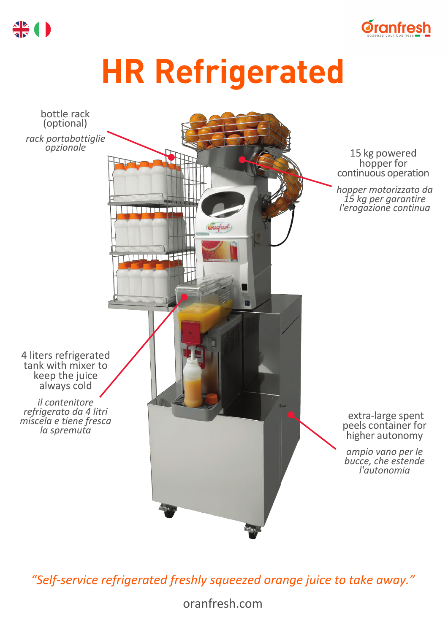

## **HR Refrigerated**



*"Self-service refrigerated freshly squeezed orange juice to take away."*

oranfresh.com